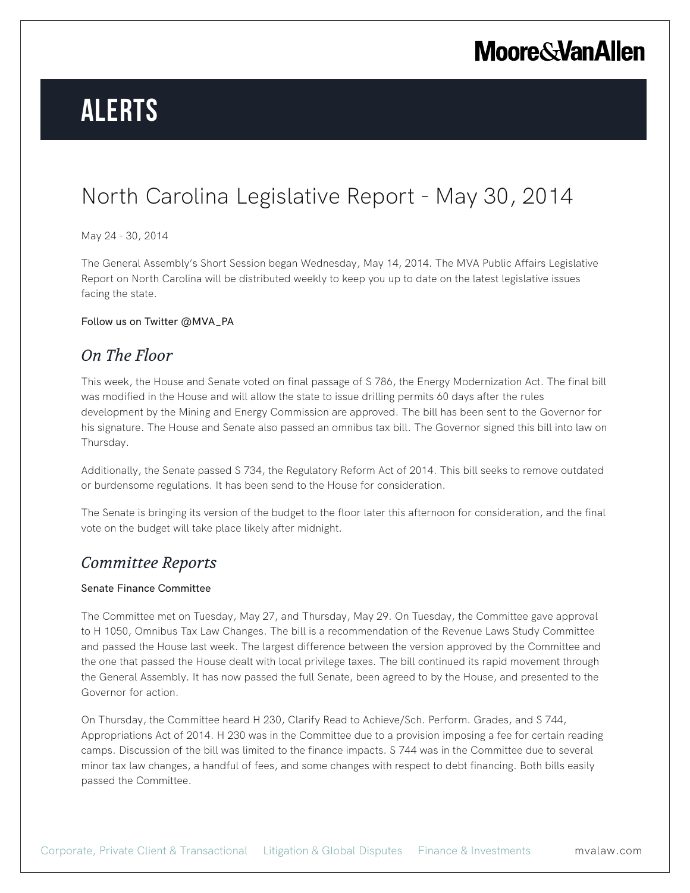# **Alerts**

### North Carolina Legislative Report - May 30, 2014

May 24 - 30, 2014

The General Assembly's Short Session began Wednesday, May 14, 2014. The MVA Public Affairs Legislative Report on North Carolina will be distributed weekly to keep you up to date on the latest legislative issues facing the state.

Follow us on Twitter @MVA\_PA

### *On The Floor*

This week, the House and Senate voted on final passage of S 786, the Energy Modernization Act. The final bill was modified in the House and will allow the state to issue drilling permits 60 days after the rules development by the Mining and Energy Commission are approved. The bill has been sent to the Governor for his signature. The House and Senate also passed an omnibus tax bill. The Governor signed this bill into law on Thursday.

Additionally, the Senate passed S 734, the Regulatory Reform Act of 2014. This bill seeks to remove outdated or burdensome regulations. It has been send to the House for consideration.

The Senate is bringing its version of the budget to the floor later this afternoon for consideration, and the final vote on the budget will take place likely after midnight.

### *Committee Reports*

#### Senate Finance Committee

The Committee met on Tuesday, May 27, and Thursday, May 29. On Tuesday, the Committee gave approval to H 1050, Omnibus Tax Law Changes. The bill is a recommendation of the Revenue Laws Study Committee and passed the House last week. The largest difference between the version approved by the Committee and the one that passed the House dealt with local privilege taxes. The bill continued its rapid movement through the General Assembly. It has now passed the full Senate, been agreed to by the House, and presented to the Governor for action.

On Thursday, the Committee heard H 230, Clarify Read to Achieve/Sch. Perform. Grades, and S 744, Appropriations Act of 2014. H 230 was in the Committee due to a provision imposing a fee for certain reading camps. Discussion of the bill was limited to the finance impacts. S 744 was in the Committee due to several minor tax law changes, a handful of fees, and some changes with respect to debt financing. Both bills easily passed the Committee.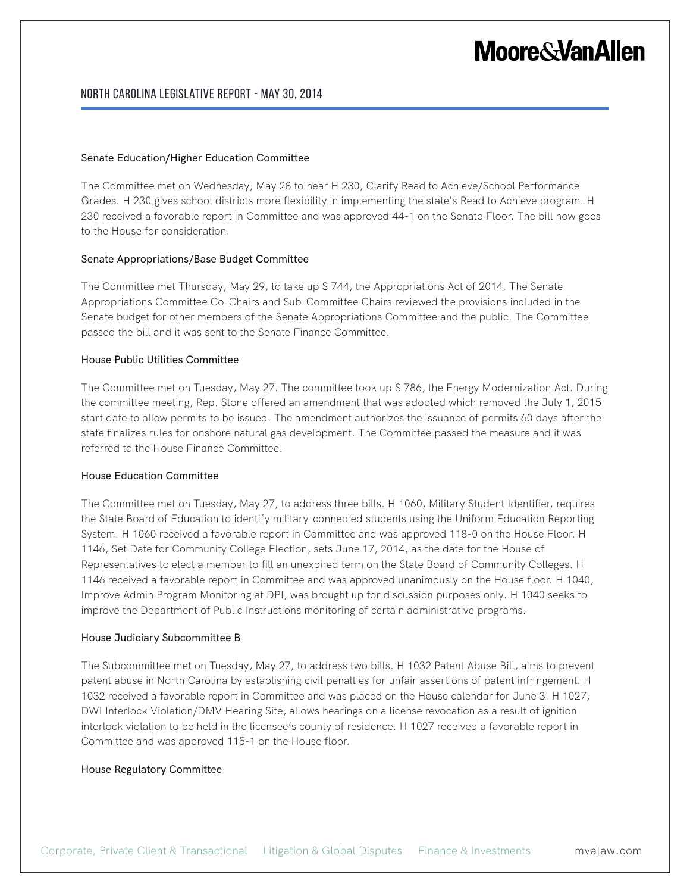#### North Carolina Legislative Report - May 30, 2014

#### Senate Education/Higher Education Committee

The Committee met on Wednesday, May 28 to hear H 230, Clarify Read to Achieve/School Performance Grades. H 230 gives school districts more flexibility in implementing the state's Read to Achieve program. H 230 received a favorable report in Committee and was approved 44-1 on the Senate Floor. The bill now goes to the House for consideration.

#### Senate Appropriations/Base Budget Committee

The Committee met Thursday, May 29, to take up S 744, the Appropriations Act of 2014. The Senate Appropriations Committee Co-Chairs and Sub-Committee Chairs reviewed the provisions included in the Senate budget for other members of the Senate Appropriations Committee and the public. The Committee passed the bill and it was sent to the Senate Finance Committee.

#### House Public Utilities Committee

The Committee met on Tuesday, May 27. The committee took up S 786, the Energy Modernization Act. During the committee meeting, Rep. Stone offered an amendment that was adopted which removed the July 1, 2015 start date to allow permits to be issued. The amendment authorizes the issuance of permits 60 days after the state finalizes rules for onshore natural gas development. The Committee passed the measure and it was referred to the House Finance Committee.

#### House Education Committee

The Committee met on Tuesday, May 27, to address three bills. H 1060, Military Student Identifier, requires the State Board of Education to identify military-connected students using the Uniform Education Reporting System. H 1060 received a favorable report in Committee and was approved 118-0 on the House Floor. H 1146, Set Date for Community College Election, sets June 17, 2014, as the date for the House of Representatives to elect a member to fill an unexpired term on the State Board of Community Colleges. H 1146 received a favorable report in Committee and was approved unanimously on the House floor. H 1040, Improve Admin Program Monitoring at DPI, was brought up for discussion purposes only. H 1040 seeks to improve the Department of Public Instructions monitoring of certain administrative programs.

#### House Judiciary Subcommittee B

The Subcommittee met on Tuesday, May 27, to address two bills. H 1032 Patent Abuse Bill, aims to prevent patent abuse in North Carolina by establishing civil penalties for unfair assertions of patent infringement. H 1032 received a favorable report in Committee and was placed on the House calendar for June 3. H 1027, DWI Interlock Violation/DMV Hearing Site, allows hearings on a license revocation as a result of ignition interlock violation to be held in the licensee's county of residence. H 1027 received a favorable report in Committee and was approved 115-1 on the House floor.

#### House Regulatory Committee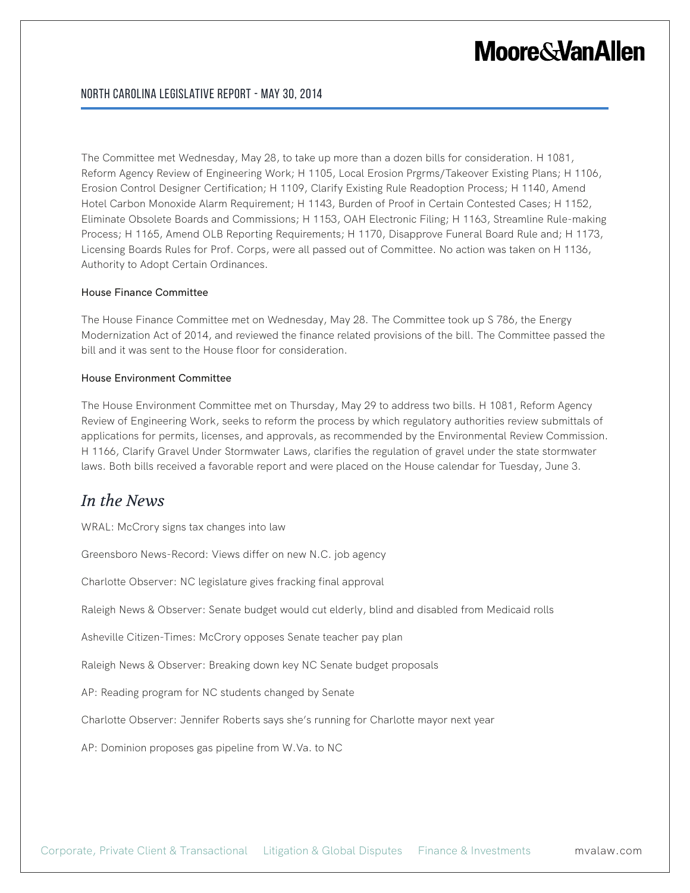The Committee met Wednesday, May 28, to take up more than a dozen bills for consideration. H 1081, Reform Agency Review of Engineering Work; H 1105, Local Erosion Prgrms/Takeover Existing Plans; H 1106, Erosion Control Designer Certification; H 1109, Clarify Existing Rule Readoption Process; H 1140, Amend Hotel Carbon Monoxide Alarm Requirement; H 1143, Burden of Proof in Certain Contested Cases; H 1152, Eliminate Obsolete Boards and Commissions; H 1153, OAH Electronic Filing; H 1163, Streamline Rule-making Process; H 1165, Amend OLB Reporting Requirements; H 1170, Disapprove Funeral Board Rule and; H 1173, Licensing Boards Rules for Prof. Corps, were all passed out of Committee. No action was taken on H 1136, Authority to Adopt Certain Ordinances.

#### House Finance Committee

The House Finance Committee met on Wednesday, May 28. The Committee took up S 786, the Energy Modernization Act of 2014, and reviewed the finance related provisions of the bill. The Committee passed the bill and it was sent to the House floor for consideration.

#### House Environment Committee

The House Environment Committee met on Thursday, May 29 to address two bills. H 1081, Reform Agency Review of Engineering Work, seeks to reform the process by which regulatory authorities review submittals of applications for permits, licenses, and approvals, as recommended by the Environmental Review Commission. H 1166, Clarify Gravel Under Stormwater Laws, clarifies the regulation of gravel under the state stormwater laws. Both bills received a favorable report and were placed on the House calendar for Tuesday, June 3.

### *In the News*

WRAL: McCrory signs tax changes into law

Greensboro News-Record: Views differ on new N.C. job agency

Charlotte Observer: NC legislature gives fracking final approval

Raleigh News & Observer: Senate budget would cut elderly, blind and disabled from Medicaid rolls

Asheville Citizen-Times: McCrory opposes Senate teacher pay plan

Raleigh News & Observer: Breaking down key NC Senate budget proposals

AP: Reading program for NC students changed by Senate

Charlotte Observer: Jennifer Roberts says she's running for Charlotte mayor next year

AP: Dominion proposes gas pipeline from W.Va. to NC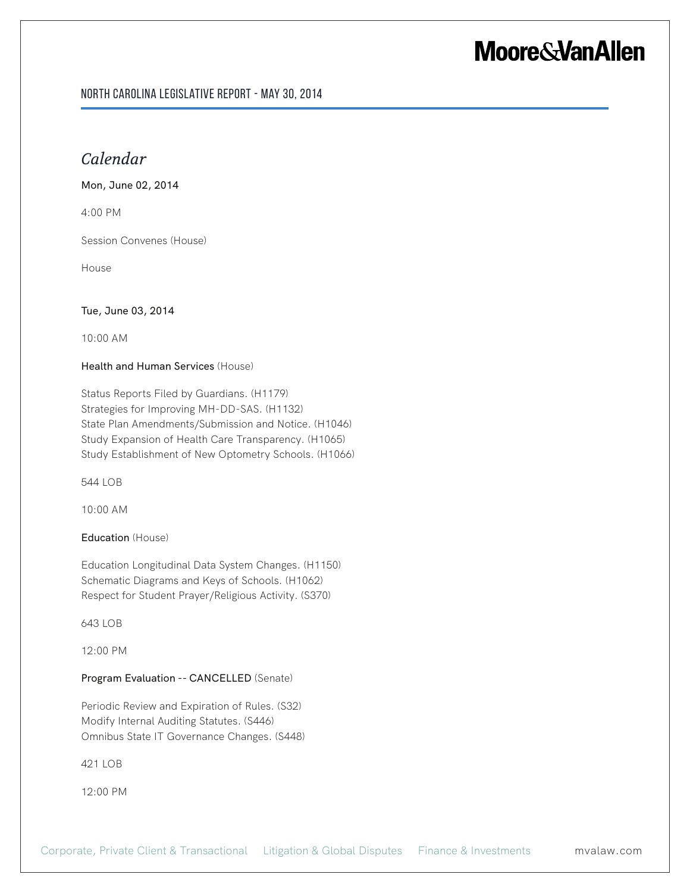#### North Carolina Legislative Report - May 30, 2014

### *Calendar*

Mon, June 02, 2014

4:00 PM

Session Convenes (House)

House

Tue, June 03, 2014

10:00 AM

#### Health and Human Services (House)

Status Reports Filed by Guardians. (H1179) Strategies for Improving MH-DD-SAS. (H1132) State Plan Amendments/Submission and Notice. (H1046) Study Expansion of Health Care Transparency. (H1065) Study Establishment of New Optometry Schools. (H1066)

544 LOB

10:00 AM

Education (House)

Education Longitudinal Data System Changes. (H1150) Schematic Diagrams and Keys of Schools. (H1062) Respect for Student Prayer/Religious Activity. (S370)

643 LOB

12:00 PM

#### Program Evaluation -- CANCELLED (Senate)

Periodic Review and Expiration of Rules. (S32) Modify Internal Auditing Statutes. (S446) Omnibus State IT Governance Changes. (S448)

421 LOB

12:00 PM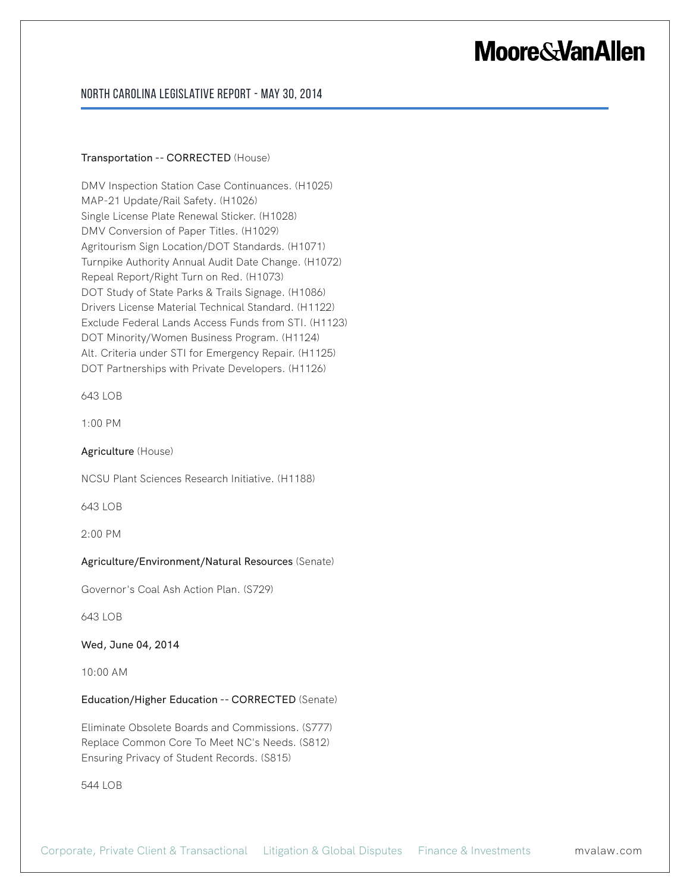#### North Carolina Legislative Report - May 30, 2014

#### Transportation -- CORRECTED (House)

DMV Inspection Station Case Continuances. (H1025) MAP-21 Update/Rail Safety. (H1026) Single License Plate Renewal Sticker. (H1028) DMV Conversion of Paper Titles. (H1029) Agritourism Sign Location/DOT Standards. (H1071) Turnpike Authority Annual Audit Date Change. (H1072) Repeal Report/Right Turn on Red. (H1073) DOT Study of State Parks & Trails Signage. (H1086) Drivers License Material Technical Standard. (H1122) Exclude Federal Lands Access Funds from STI. (H1123) DOT Minority/Women Business Program. (H1124) Alt. Criteria under STI for Emergency Repair. (H1125) DOT Partnerships with Private Developers. (H1126)

643 LOB

1:00 PM

Agriculture (House)

NCSU Plant Sciences Research Initiative. (H1188)

643 LOB

2:00 PM

#### Agriculture/Environment/Natural Resources (Senate)

Governor's Coal Ash Action Plan. (S729)

643 LOB

Wed, June 04, 2014

10:00 AM

#### Education/Higher Education -- CORRECTED (Senate)

Eliminate Obsolete Boards and Commissions. (S777) Replace Common Core To Meet NC's Needs. (S812) Ensuring Privacy of Student Records. (S815)

544 LOB